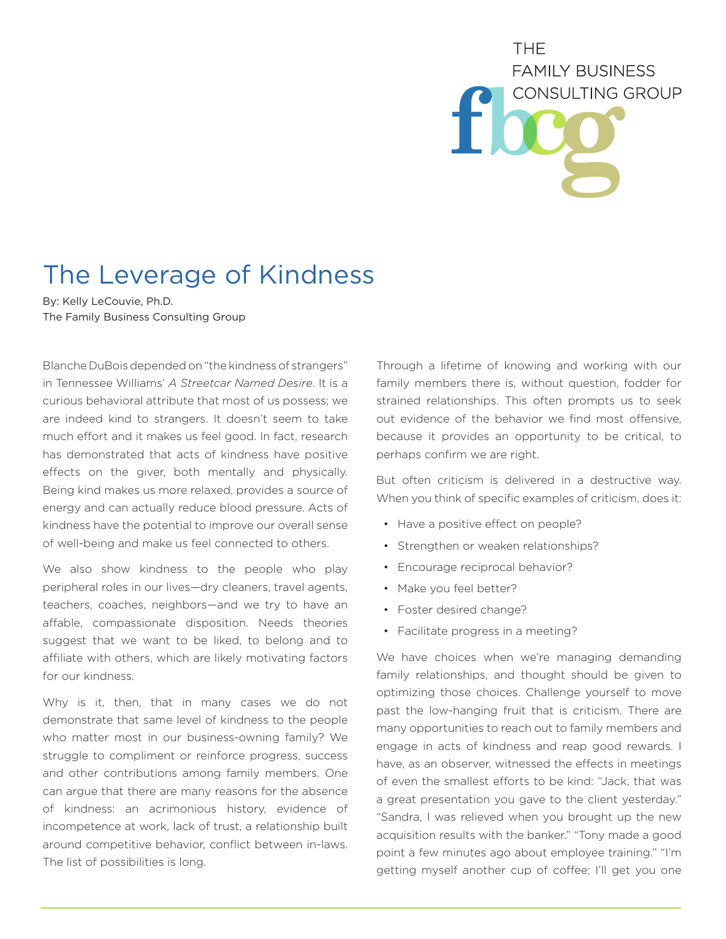## **THF FAMILY BUSINESS CONSULTING GROUP**

## The Leverage of Kindness

By: Kelly LeCouvie, Ph.D. The Family Business Consulting Group

Blanche DuBois depended on "the kindness of strangers" in Tennessee Williams' *A Streetcar Named Desire*. It is a curious behavioral attribute that most of us possess; we are indeed kind to strangers. It doesn't seem to take much effort and it makes us feel good. In fact, research has demonstrated that acts of kindness have positive effects on the giver, both mentally and physically. Being kind makes us more relaxed, provides a source of energy and can actually reduce blood pressure. Acts of kindness have the potential to improve our overall sense of well-being and make us feel connected to others.

We also show kindness to the people who play peripheral roles in our lives—dry cleaners, travel agents, teachers, coaches, neighbors—and we try to have an affable, compassionate disposition. Needs theories suggest that we want to be liked, to belong and to affiliate with others, which are likely motivating factors for our kindness.

Why is it, then, that in many cases we do not demonstrate that same level of kindness to the people who matter most in our business-owning family? We struggle to compliment or reinforce progress, success and other contributions among family members. One can argue that there are many reasons for the absence of kindness: an acrimonious history, evidence of incompetence at work, lack of trust, a relationship built around competitive behavior, conflict between in-laws. The list of possibilities is long.

Through a lifetime of knowing and working with our family members there is, without question, fodder for strained relationships. This often prompts us to seek out evidence of the behavior we find most offensive, because it provides an opportunity to be critical, to perhaps confirm we are right.

But often criticism is delivered in a destructive way. When you think of specific examples of criticism, does it:

- Have a positive effect on people?
- Strengthen or weaken relationships?
- Encourage reciprocal behavior?
- Make you feel better?
- Foster desired change?
- Facilitate progress in a meeting?

We have choices when we're managing demanding family relationships, and thought should be given to optimizing those choices. Challenge yourself to move past the low-hanging fruit that is criticism. There are many opportunities to reach out to family members and engage in acts of kindness and reap good rewards. I have, as an observer, witnessed the effects in meetings of even the smallest efforts to be kind: "Jack, that was a great presentation you gave to the client yesterday." "Sandra, I was relieved when you brought up the new acquisition results with the banker." "Tony made a good point a few minutes ago about employee training." "I'm getting myself another cup of coffee; I'll get you one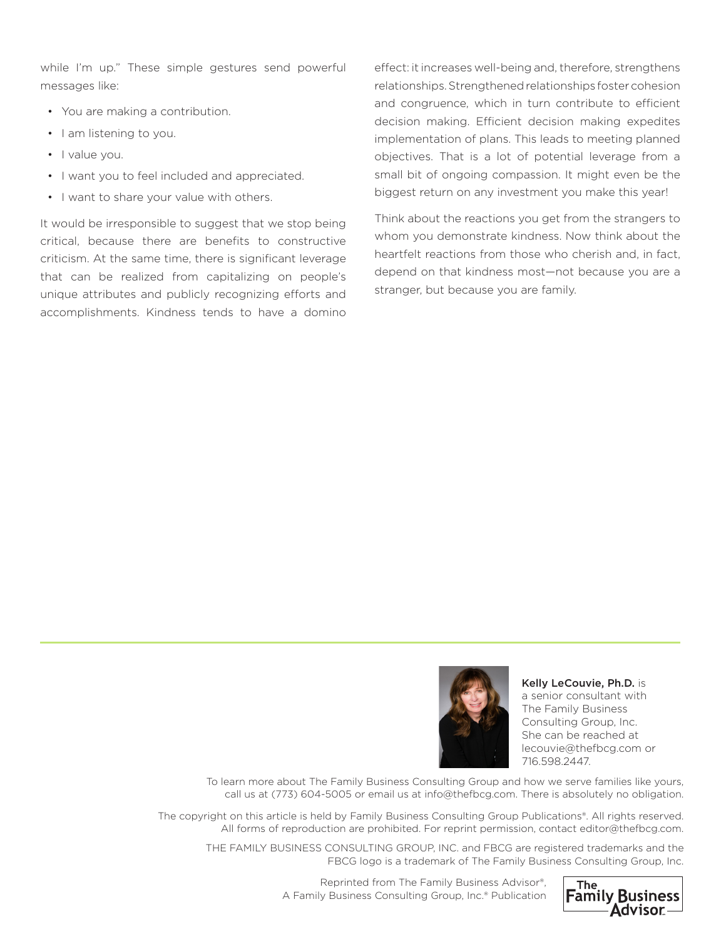while I'm up." These simple gestures send powerful messages like:

- You are making a contribution.
- I am listening to you.
- I value you.
- I want you to feel included and appreciated.
- I want to share your value with others.

It would be irresponsible to suggest that we stop being critical, because there are benefits to constructive criticism. At the same time, there is significant leverage that can be realized from capitalizing on people's unique attributes and publicly recognizing efforts and accomplishments. Kindness tends to have a domino effect: it increases well-being and, therefore, strengthens relationships. Strengthened relationships foster cohesion and congruence, which in turn contribute to efficient decision making. Efficient decision making expedites implementation of plans. This leads to meeting planned objectives. That is a lot of potential leverage from a small bit of ongoing compassion. It might even be the biggest return on any investment you make this year!

Think about the reactions you get from the strangers to whom you demonstrate kindness. Now think about the heartfelt reactions from those who cherish and, in fact, depend on that kindness most—not because you are a stranger, but because you are family.



Kelly LeCouvie, Ph.D. is a senior consultant with The Family Business Consulting Group, Inc. She can be reached at lecouvie@thefbcg.com or 716.598.2447.

To learn more about The Family Business Consulting Group and how we serve families like yours, call us at (773) 604-5005 or email us at info@thefbcg.com. There is absolutely no obligation.

The copyright on this article is held by Family Business Consulting Group Publications®. All rights reserved. All forms of reproduction are prohibited. For reprint permission, contact editor@thefbcg.com.

THE FAMILY BUSINESS CONSULTING GROUP, INC. and FBCG are registered trademarks and the FBCG logo is a trademark of The Family Business Consulting Group, Inc.



Reprinted from The Family Business Advisor®, A Family Business Consulting Group, Inc.® Publication